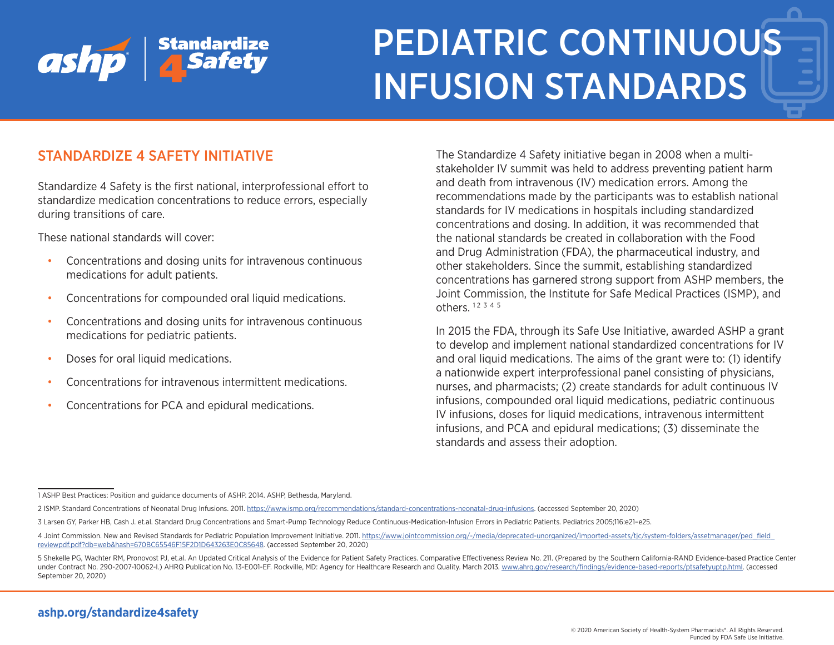

## STANDARDIZE 4 SAFETY INITIATIVE

Standardize 4 Safety is the first national, interprofessional effort to standardize medication concentrations to reduce errors, especially during transitions of care.

These national standards will cover:

- Concentrations and dosing units for intravenous continuous medications for adult patients.
- Concentrations for compounded oral liquid medications.
- Concentrations and dosing units for intravenous continuous medications for pediatric patients.
- Doses for oral liquid medications.
- Concentrations for intravenous intermittent medications.
- Concentrations for PCA and epidural medications.

The Standardize 4 Safety initiative began in 2008 when a multistakeholder IV summit was held to address preventing patient harm and death from intravenous (IV) medication errors. Among the recommendations made by the participants was to establish national standards for IV medications in hospitals including standardized concentrations and dosing. In addition, it was recommended that the national standards be created in collaboration with the Food and Drug Administration (FDA), the pharmaceutical industry, and other stakeholders. Since the summit, establishing standardized concentrations has garnered strong support from ASHP members, the Joint Commission, the Institute for Safe Medical Practices (ISMP), and others.  $12 \frac{3}{4} \frac{4}{5}$ 

In 2015 the FDA, through its Safe Use Initiative, awarded ASHP a grant to develop and implement national standardized concentrations for IV and oral liquid medications. The aims of the grant were to: (1) identify a nationwide expert interprofessional panel consisting of physicians, nurses, and pharmacists; (2) create standards for adult continuous IV infusions, compounded oral liquid medications, pediatric continuous IV infusions, doses for liquid medications, intravenous intermittent infusions, and PCA and epidural medications; (3) disseminate the standards and assess their adoption.

<sup>1</sup> ASHP Best Practices: Position and guidance documents of ASHP. 2014. ASHP, Bethesda, Maryland.

<sup>2</sup> ISMP. Standard Concentrations of Neonatal Drug Infusions. 2011. <https://www.ismp.org/recommendations/standard-concentrations-neonatal-drug-infusions>. (accessed September 20, 2020)

<sup>3</sup> Larsen GY, Parker HB, Cash J. et.al. Standard Drug Concentrations and Smart-Pump Technology Reduce Continuous-Medication-Infusion Errors in Pediatric Patients. Pediatrics 2005;116:e21–e25.

<sup>4</sup> Joint Commission. New and Revised Standards for Pediatric Population Improvement Initiative. 2011. [https://www.jointcommission.org/-/media/deprecated-unorganized/imported-assets/tjc/system-folders/assetmanager/ped\\_field\\_](https://www.jointcommission.org/-/media/deprecated-unorganized/imported-assets/tjc/system-folders/assetmanager/ped_field_reviewpdf.pdf?db=web&hash=670BC65546F15F2D1D643263E0C85648) [reviewpdf.pdf?db=web&hash=670BC65546F15F2D1D643263E0C85648](https://www.jointcommission.org/-/media/deprecated-unorganized/imported-assets/tjc/system-folders/assetmanager/ped_field_reviewpdf.pdf?db=web&hash=670BC65546F15F2D1D643263E0C85648). (accessed September 20, 2020)

<sup>5</sup> Shekelle PG, Wachter RM, Pronovost PJ, et.al. An Updated Critical Analysis of the Evidence for Patient Safety Practices. Comparative Effectiveness Review No. 211. (Prepared by the Southern California-RAND Evidence-based under Contract No. 290-2007-10062-I.) AHRQ Publication No. 13-E001-EF. Rockville, MD: Agency for Healthcare Research and Quality. March 2013. [www.ahrq.gov/research/findings/evidence-based-reports/ptsafetyuptp.html](http://www.ahrq.gov/research/findings/evidence-based-reports/ptsafetyuptp.html). (accessed September 20, 2020)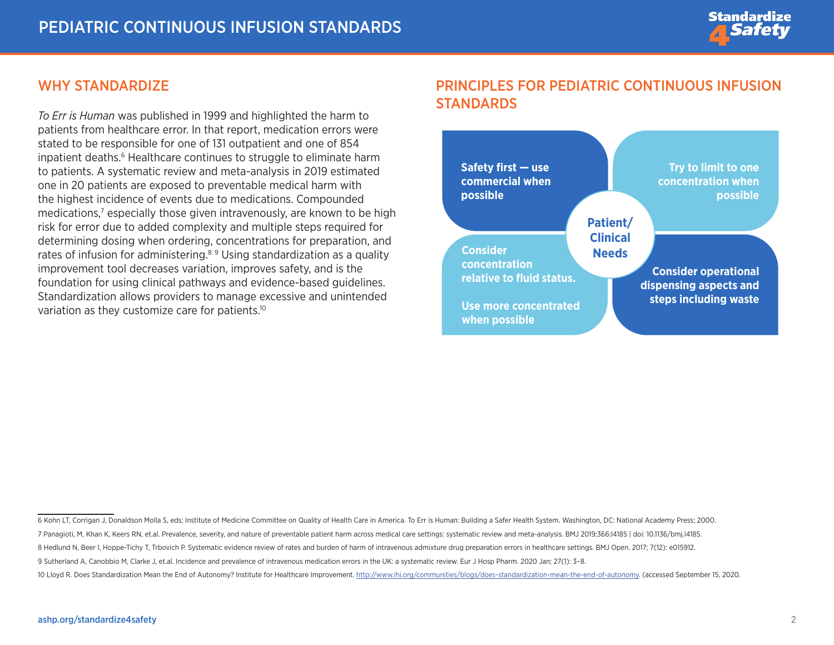#### WHY STANDARDIZE

*To Err is Human* was published in 1999 and highlighted the harm to patients from healthcare error. In that report, medication errors were stated to be responsible for one of 131 outpatient and one of 854 inpatient deaths.<sup>6</sup> Healthcare continues to struggle to eliminate harm to patients. A systematic review and meta-analysis in 2019 estimated one in 20 patients are exposed to preventable medical harm with the highest incidence of events due to medications. Compounded medications,<sup>7</sup> especially those given intravenously, are known to be high risk for error due to added complexity and multiple steps required for determining dosing when ordering, concentrations for preparation, and rates of infusion for administering.<sup>89</sup> Using standardization as a quality improvement tool decreases variation, improves safety, and is the foundation for using clinical pathways and evidence-based guidelines. Standardization allows providers to manage excessive and unintended variation as they customize care for patients.<sup>10</sup>

## PRINCIPLES FOR PEDIATRIC CONTINUOUS INFUSION STANDARDS



<sup>6</sup> Kohn LT, Corrigan J, Donaldson Molla S, eds; Institute of Medicine Committee on Quality of Health Care in America. To Err is Human: Building a Safer Health System. Washington, DC: National Academy Press; 2000.

<sup>7</sup> Panagioti, M, Khan K, Keers RN, et.al. Prevalence, severity, and nature of preventable patient harm across medical care settings: systematic review and meta-analysis. BMJ 2019;366:l4185 | doi: 10.1136/bmj.l4185.

<sup>8</sup> Hedlund N, Beer I, Hoppe-Tichy T, Trbovich P. Systematic evidence review of rates and burden of harm of intravenous admixture drug preparation errors in healthcare settings. BMJ Open. 2017; 7(12): e015912.

<sup>9</sup> Sutherland A, Canobbio M, Clarke J, et.al. Incidence and prevalence of intravenous medication errors in the UK: a systematic review. Eur J Hosp Pharm. 2020 Jan; 27(1): 3–8.

<sup>10</sup> Lloyd R. Does Standardization Mean the End of Autonomy? Institute for Healthcare Improvement. [http://www.ihi.org/communities/blogs/does-standardization-mean-the-end-of-autonomy.](http://www.ihi.org/communities/blogs/does-standardization-mean-the-end-of-autonomy) (accessed September 15, 2020.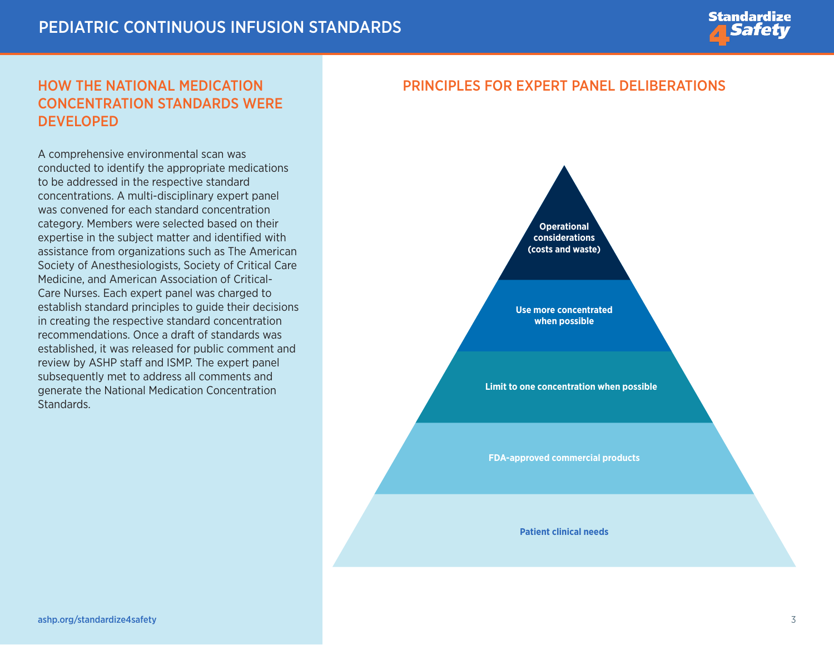

## HOW THE NATIONAL MEDICATION CONCENTRATION STANDARDS WERE **DEVELOPED**

A comprehensive environmental scan was conducted to identify the appropriate medications to be addressed in the respective standard concentrations. A multi-disciplinary expert panel was convened for each standard concentration category. Members were selected based on their expertise in the subject matter and identified with assistance from organizations such as The American Society of Anesthesiologists, Society of Critical Care Medicine, and American Association of Critical-Care Nurses. Each expert panel was charged to establish standard principles to guide their decisions in creating the respective standard concentration recommendations. Once a draft of standards was established, it was released for public comment and review by ASHP staff and ISMP. The expert panel subsequently met to address all comments and generate the National Medication Concentration Standards.

#### PRINCIPLES FOR EXPERT PANEL DELIBERATIONS



**Use more concentrated when possible**

**Limit to one concentration when possible**

**FDA-approved commercial products** 

**Patient clinical needs**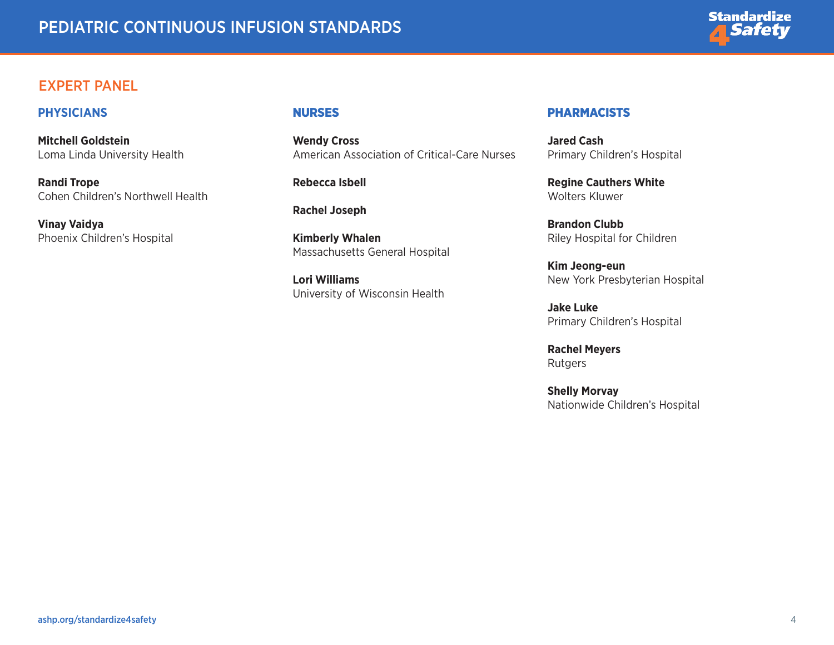

#### EXPERT PANEL

#### **PHYSICIANS**

**Mitchell Goldstein**  Loma Linda University Health

**Randi Trope**  Cohen Children's Northwell Health

**Vinay Vaidya**  Phoenix Children's Hospital

#### NURSES

**Wendy Cross**  American Association of Critical-Care Nurses

**Rebecca Isbell** 

**Rachel Joseph** 

**Kimberly Whalen**  Massachusetts General Hospital

**Lori Williams**  University of Wisconsin Health

#### **PHARMACISTS**

**Jared Cash**  Primary Children's Hospital

**Regine Cauthers White**  Wolters Kluwer

**Brandon Clubb**  Riley Hospital for Children

**Kim Jeong-eun**  New York Presbyterian Hospital

**Jake Luke**  Primary Children's Hospital

**Rachel Meyers**  Rutgers

**Shelly Morvay**  Nationwide Children's Hospital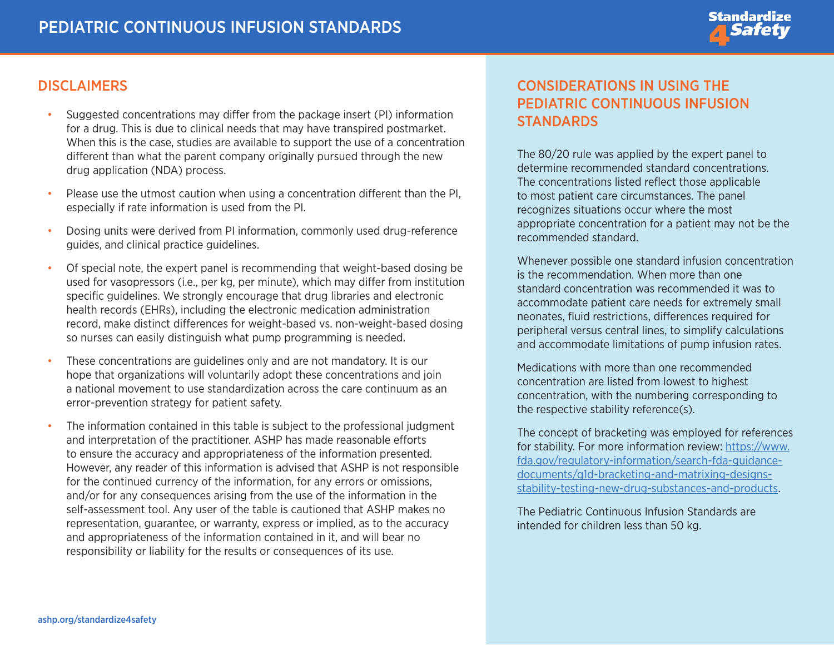

#### **DISCLAIMERS**

- Suggested concentrations may differ from the package insert (PI) information for a drug. This is due to clinical needs that may have transpired postmarket. When this is the case, studies are available to support the use of a concentration different than what the parent company originally pursued through the new drug application (NDA) process.
- Please use the utmost caution when using a concentration different than the PI, especially if rate information is used from the PI.
- Dosing units were derived from PI information, commonly used drug-reference guides, and clinical practice guidelines.
- Of special note, the expert panel is recommending that weight-based dosing be used for vasopressors (i.e., per kg, per minute), which may differ from institution specific guidelines. We strongly encourage that drug libraries and electronic health records (EHRs), including the electronic medication administration record, make distinct differences for weight-based vs. non-weight-based dosing so nurses can easily distinguish what pump programming is needed.
- These concentrations are guidelines only and are not mandatory. It is our hope that organizations will voluntarily adopt these concentrations and join a national movement to use standardization across the care continuum as an error-prevention strategy for patient safety.
- The information contained in this table is subject to the professional judgment and interpretation of the practitioner. ASHP has made reasonable efforts to ensure the accuracy and appropriateness of the information presented. However, any reader of this information is advised that ASHP is not responsible for the continued currency of the information, for any errors or omissions, and/or for any consequences arising from the use of the information in the self-assessment tool. Any user of the table is cautioned that ASHP makes no representation, guarantee, or warranty, express or implied, as to the accuracy and appropriateness of the information contained in it, and will bear no responsibility or liability for the results or consequences of its use.

## CONSIDERATIONS IN USING THE PEDIATRIC CONTINUOUS INFUSION STANDARDS

The 80/20 rule was applied by the expert panel to determine recommended standard concentrations. The concentrations listed reflect those applicable to most patient care circumstances. The panel recognizes situations occur where the most appropriate concentration for a patient may not be the recommended standard.

Whenever possible one standard infusion concentration is the recommendation. When more than one standard concentration was recommended it was to accommodate patient care needs for extremely small neonates, fluid restrictions, differences required for peripheral versus central lines, to simplify calculations and accommodate limitations of pump infusion rates.

Medications with more than one recommended concentration are listed from lowest to highest concentration, with the numbering corresponding to the respective stability reference(s).

The concept of bracketing was employed for references for stability. For more information review: [https://www.](https://www.fda.gov/regulatory-information/search-fda-guidance-documents/q1d-bracketing-and-matrixing-designs-stability-testing-new-drug-substances-and-products) [fda.gov/regulatory-information/search-fda-guidance](https://www.fda.gov/regulatory-information/search-fda-guidance-documents/q1d-bracketing-and-matrixing-designs-stability-testing-new-drug-substances-and-products)[documents/q1d-bracketing-and-matrixing-designs](https://www.fda.gov/regulatory-information/search-fda-guidance-documents/q1d-bracketing-and-matrixing-designs-stability-testing-new-drug-substances-and-products)[stability-testing-new-drug-substances-and-products.](https://www.fda.gov/regulatory-information/search-fda-guidance-documents/q1d-bracketing-and-matrixing-designs-stability-testing-new-drug-substances-and-products)

The Pediatric Continuous Infusion Standards are intended for children less than 50 kg.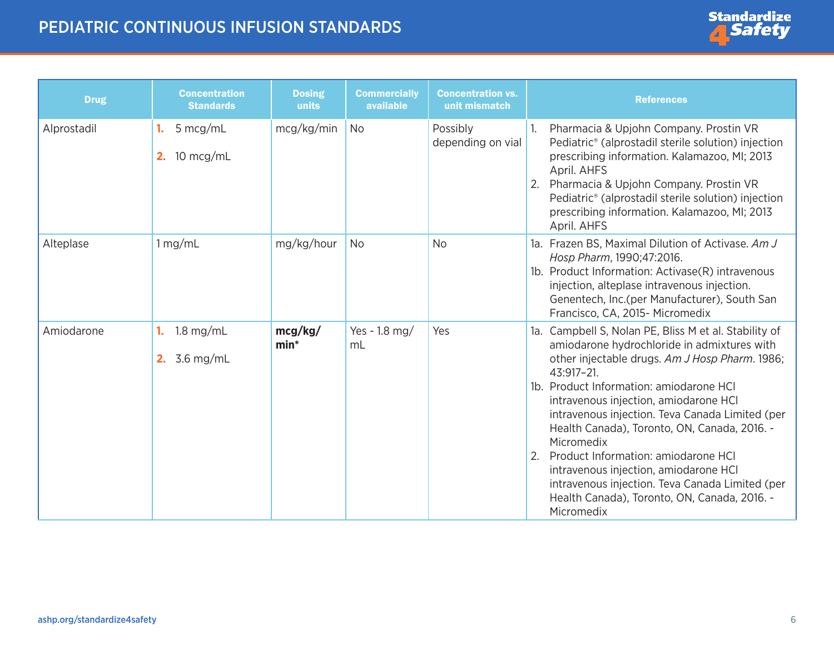

| <b>Drug</b> | <b>Concentration</b><br><b>Standards</b> | <b>Dosing</b><br>units | <b>Commercially</b><br>available | <b>Concentration vs.</b><br>unit mismatch | <b>References</b>                                                                                                                                                                                                                                                                                                                                                                                                                                                                                                                                                                |
|-------------|------------------------------------------|------------------------|----------------------------------|-------------------------------------------|----------------------------------------------------------------------------------------------------------------------------------------------------------------------------------------------------------------------------------------------------------------------------------------------------------------------------------------------------------------------------------------------------------------------------------------------------------------------------------------------------------------------------------------------------------------------------------|
| Alprostadil | 5 mcg/mL<br>1.<br>10 mcg/mL<br>2.        | mcg/kg/min             | <b>No</b>                        | Possibly<br>depending on vial             | Pharmacia & Upjohn Company. Prostin VR<br>Pediatric <sup>®</sup> (alprostadil sterile solution) injection<br>prescribing information. Kalamazoo, MI; 2013<br>April. AHFS<br>Pharmacia & Upjohn Company. Prostin VR<br>2.<br>Pediatric <sup>®</sup> (alprostadil sterile solution) injection<br>prescribing information. Kalamazoo, MI; 2013<br>April. AHFS                                                                                                                                                                                                                       |
| Alteplase   | 1 mg/mL                                  | mg/kg/hour             | <b>No</b>                        | <b>No</b>                                 | 1a. Frazen BS, Maximal Dilution of Activase. Am J<br>Hosp Pharm, 1990; 47:2016.<br>1b. Product Information: Activase(R) intravenous<br>injection, alteplase intravenous injection.<br>Genentech, Inc.(per Manufacturer), South San<br>Francisco, CA, 2015- Micromedix                                                                                                                                                                                                                                                                                                            |
| Amiodarone  | $1.8$ mg/mL<br>1.<br>3.6 mg/mL<br>2.     | mcg/kg/<br>$min*$      | Yes - 1.8 mg/<br>mL              | Yes                                       | 1a. Campbell S, Nolan PE, Bliss M et al. Stability of<br>amiodarone hydrochloride in admixtures with<br>other injectable drugs. Am J Hosp Pharm. 1986;<br>43:917-21.<br>1b. Product Information: amiodarone HCI<br>intravenous injection, amiodarone HCI<br>intravenous injection. Teva Canada Limited (per<br>Health Canada), Toronto, ON, Canada, 2016. -<br>Micromedix<br>2.<br>Product Information: amiodarone HCI<br>intravenous injection, amiodarone HCI<br>intravenous injection. Teva Canada Limited (per<br>Health Canada), Toronto, ON, Canada, 2016. -<br>Micromedix |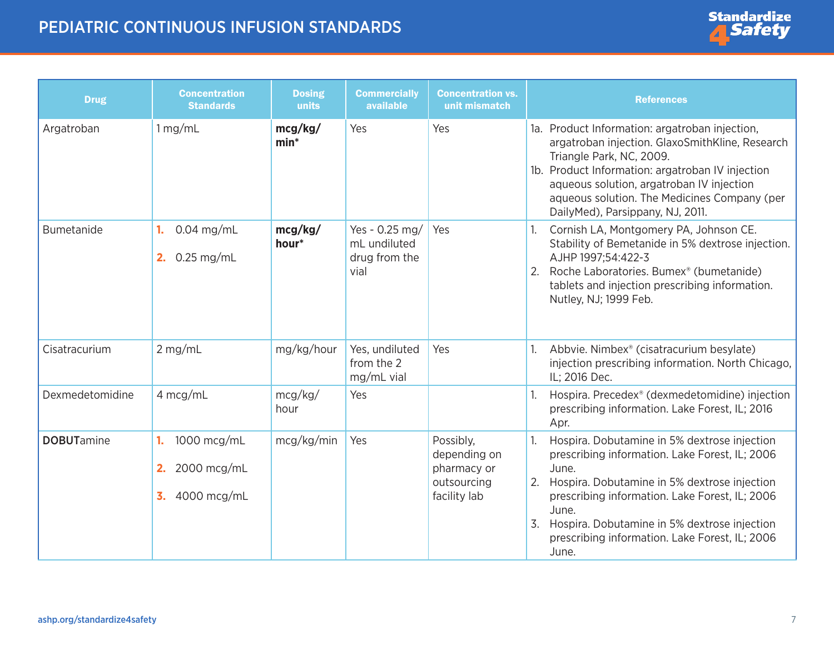

| <b>Drug</b>       | <b>Concentration</b><br><b>Standards</b>                    | <b>Dosing</b><br>units | <b>Commercially</b><br>available                        | <b>Concentration vs.</b><br>unit mismatch                               | <b>References</b>                                                                                                                                                                                                                                                                                                                         |
|-------------------|-------------------------------------------------------------|------------------------|---------------------------------------------------------|-------------------------------------------------------------------------|-------------------------------------------------------------------------------------------------------------------------------------------------------------------------------------------------------------------------------------------------------------------------------------------------------------------------------------------|
| Argatroban        | 1 mg/mL                                                     | mcg/kg/<br>$min*$      | Yes                                                     | Yes                                                                     | 1a. Product Information: argatroban injection,<br>argatroban injection. GlaxoSmithKline, Research<br>Triangle Park, NC, 2009.<br>1b. Product Information: argatroban IV injection<br>aqueous solution, argatroban IV injection<br>aqueous solution. The Medicines Company (per<br>DailyMed), Parsippany, NJ, 2011.                        |
| Bumetanide        | $0.04$ mg/mL<br>1.<br>$0.25$ mg/mL<br>2.                    | mcg/kg/<br>hour*       | Yes - 0.25 mg/<br>mL undiluted<br>drug from the<br>vial | Yes                                                                     | Cornish LA, Montgomery PA, Johnson CE.<br>Stability of Bemetanide in 5% dextrose injection.<br>AJHP 1997;54:422-3<br>Roche Laboratories. Bumex <sup>®</sup> (bumetanide)<br>2.<br>tablets and injection prescribing information.<br>Nutley, NJ; 1999 Feb.                                                                                 |
| Cisatracurium     | $2$ mg/mL                                                   | mg/kg/hour             | Yes, undiluted<br>from the 2<br>mg/mL vial              | Yes                                                                     | Abbvie. Nimbex <sup>®</sup> (cisatracurium besylate)<br>injection prescribing information. North Chicago,<br>IL; 2016 Dec.                                                                                                                                                                                                                |
| Dexmedetomidine   | 4 mcg/mL                                                    | mcg/kg/<br>hour        | Yes                                                     |                                                                         | Hospira. Precedex <sup>®</sup> (dexmedetomidine) injection<br>prescribing information. Lake Forest, IL; 2016<br>Apr.                                                                                                                                                                                                                      |
| <b>DOBUTamine</b> | 1000 mcg/mL<br>1.<br>2000 mcg/mL<br>2.<br>3.<br>4000 mcg/mL | mcg/kg/min             | Yes                                                     | Possibly,<br>depending on<br>pharmacy or<br>outsourcing<br>facility lab | Hospira. Dobutamine in 5% dextrose injection<br>prescribing information. Lake Forest, IL; 2006<br>June.<br>Hospira. Dobutamine in 5% dextrose injection<br>2.<br>prescribing information. Lake Forest, IL; 2006<br>June.<br>Hospira. Dobutamine in 5% dextrose injection<br>3.<br>prescribing information. Lake Forest, IL; 2006<br>June. |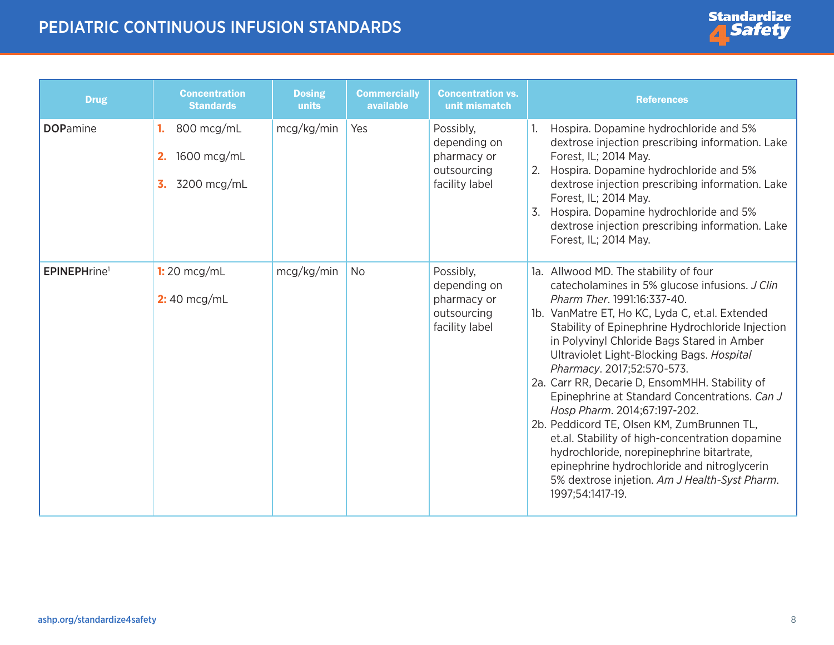<span id="page-7-0"></span>

| <b>Drug</b>                     | <b>Concentration</b><br><b>Standards</b>                   | <b>Dosing</b><br>units | <b>Commercially</b><br>available | <b>Concentration vs.</b><br>unit mismatch                                 | <b>References</b>                                                                                                                                                                                                                                                                                                                                                                                                                                                                                                                                                                                                                                                                                                                                           |
|---------------------------------|------------------------------------------------------------|------------------------|----------------------------------|---------------------------------------------------------------------------|-------------------------------------------------------------------------------------------------------------------------------------------------------------------------------------------------------------------------------------------------------------------------------------------------------------------------------------------------------------------------------------------------------------------------------------------------------------------------------------------------------------------------------------------------------------------------------------------------------------------------------------------------------------------------------------------------------------------------------------------------------------|
| <b>DOPamine</b>                 | 800 mcg/mL<br>1.<br>1600 mcg/mL<br>2.<br>3200 mcg/mL<br>3. | mcg/kg/min             | Yes                              | Possibly,<br>depending on<br>pharmacy or<br>outsourcing<br>facility label | Hospira. Dopamine hydrochloride and 5%<br>dextrose injection prescribing information. Lake<br>Forest, IL; 2014 May.<br>Hospira. Dopamine hydrochloride and 5%<br>2.<br>dextrose injection prescribing information. Lake<br>Forest, IL; 2014 May.<br>Hospira. Dopamine hydrochloride and 5%<br>3.<br>dextrose injection prescribing information. Lake<br>Forest, IL; 2014 May.                                                                                                                                                                                                                                                                                                                                                                               |
| <b>EPINEPHrine</b> <sup>1</sup> | $1:20$ mcg/mL<br>$2:40$ mcg/mL                             | mcg/kg/min             | No                               | Possibly,<br>depending on<br>pharmacy or<br>outsourcing<br>facility label | 1a. Allwood MD. The stability of four<br>catecholamines in 5% glucose infusions. J Clin<br>Pharm Ther. 1991:16:337-40.<br>1b. VanMatre ET, Ho KC, Lyda C, et.al. Extended<br>Stability of Epinephrine Hydrochloride Injection<br>in Polyvinyl Chloride Bags Stared in Amber<br>Ultraviolet Light-Blocking Bags. Hospital<br>Pharmacy. 2017;52:570-573.<br>2a. Carr RR, Decarie D, EnsomMHH. Stability of<br>Epinephrine at Standard Concentrations. Can J<br>Hosp Pharm. 2014;67:197-202.<br>2b. Peddicord TE, Olsen KM, ZumBrunnen TL,<br>et.al. Stability of high-concentration dopamine<br>hydrochloride, norepinephrine bitartrate,<br>epinephrine hydrochloride and nitroglycerin<br>5% dextrose injetion. Am J Health-Syst Pharm.<br>1997;54:1417-19. |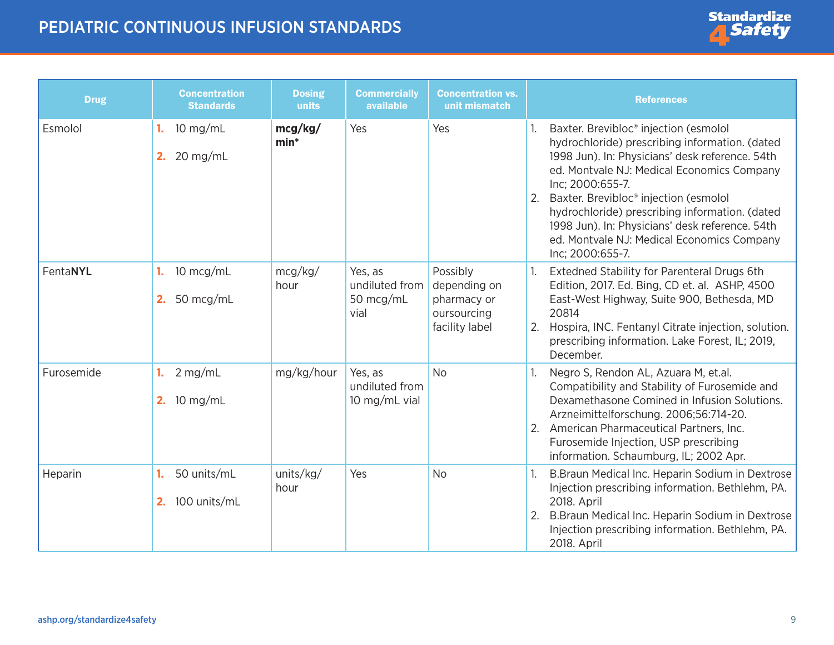| <b>Drug</b> | <b>Concentration</b><br><b>Standards</b> | <b>Dosing</b><br>units | <b>Commercially</b><br>available               | <b>Concentration vs.</b><br>unit mismatch                                | <b>References</b>                                                                                                                                                                                                                                                                                                                                                                                                                                       |
|-------------|------------------------------------------|------------------------|------------------------------------------------|--------------------------------------------------------------------------|---------------------------------------------------------------------------------------------------------------------------------------------------------------------------------------------------------------------------------------------------------------------------------------------------------------------------------------------------------------------------------------------------------------------------------------------------------|
| Esmolol     | $10$ mg/mL<br>1.<br>$20$ mg/mL<br>2.     | mcg/kg/<br>$min*$      | Yes                                            | Yes                                                                      | Baxter. Brevibloc <sup>®</sup> injection (esmolol<br>hydrochloride) prescribing information. (dated<br>1998 Jun). In: Physicians' desk reference. 54th<br>ed. Montvale NJ: Medical Economics Company<br>Inc; 2000:655-7.<br>2. Baxter. Brevibloc <sup>®</sup> injection (esmolol<br>hydrochloride) prescribing information. (dated<br>1998 Jun). In: Physicians' desk reference. 54th<br>ed. Montvale NJ: Medical Economics Company<br>Inc; 2000:655-7. |
| FentaNYL    | 10 mcg/mL<br>1.<br>50 mcg/mL<br>2.       | mcg/kg/<br>hour        | Yes, as<br>undiluted from<br>50 mcg/mL<br>vial | Possibly<br>depending on<br>pharmacy or<br>oursourcing<br>facility label | Extedned Stability for Parenteral Drugs 6th<br>Edition, 2017. Ed. Bing, CD et. al. ASHP, 4500<br>East-West Highway, Suite 900, Bethesda, MD<br>20814<br>Hospira, INC. Fentanyl Citrate injection, solution.<br>2.<br>prescribing information. Lake Forest, IL; 2019,<br>December.                                                                                                                                                                       |
| Furosemide  | $2$ mg/mL<br>1.<br>2. 10 mg/mL           | mg/kg/hour             | Yes, as<br>undiluted from<br>10 mg/mL vial     | <b>No</b>                                                                | Negro S, Rendon AL, Azuara M, et.al.<br>Compatibility and Stability of Furosemide and<br>Dexamethasone Comined in Infusion Solutions.<br>Arzneimittelforschung. 2006;56:714-20.<br>American Pharmaceutical Partners, Inc.<br>2.<br>Furosemide Injection, USP prescribing<br>information. Schaumburg, IL; 2002 Apr.                                                                                                                                      |
| Heparin     | 50 units/mL<br>1.<br>100 units/mL<br>2.  | units/kg/<br>hour      | Yes                                            | <b>No</b>                                                                | B. Braun Medical Inc. Heparin Sodium in Dextrose<br>Injection prescribing information. Bethlehm, PA.<br>2018. April<br>2. B. Braun Medical Inc. Heparin Sodium in Dextrose<br>Injection prescribing information. Bethlehm, PA.<br>2018. April                                                                                                                                                                                                           |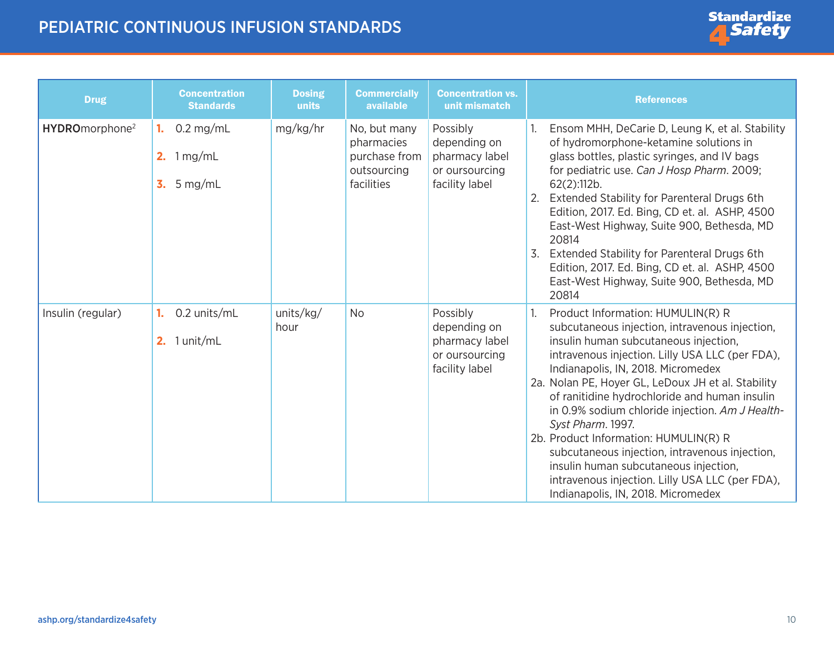<span id="page-9-0"></span>

| <b>Drug</b>                | <b>Concentration</b><br><b>Standards</b>                                    | <b>Dosing</b><br>units | <b>Commercially</b><br>available                                         | <b>Concentration vs.</b><br>unit mismatch                                      | <b>References</b>                                                                                                                                                                                                                                                                                                                                                                                                                                                                                                                                                                                                                       |
|----------------------------|-----------------------------------------------------------------------------|------------------------|--------------------------------------------------------------------------|--------------------------------------------------------------------------------|-----------------------------------------------------------------------------------------------------------------------------------------------------------------------------------------------------------------------------------------------------------------------------------------------------------------------------------------------------------------------------------------------------------------------------------------------------------------------------------------------------------------------------------------------------------------------------------------------------------------------------------------|
| HYDROmorphone <sup>2</sup> | $0.2$ mg/mL<br>1.<br>2. $1 \,\mathrm{mg/mL}$<br>$\overline{3}$ .<br>5 mg/mL | mg/kg/hr               | No, but many<br>pharmacies<br>purchase from<br>outsourcing<br>facilities | Possibly<br>depending on<br>pharmacy label<br>or oursourcing<br>facility label | Ensom MHH, DeCarie D, Leung K, et al. Stability<br>of hydromorphone-ketamine solutions in<br>glass bottles, plastic syringes, and IV bags<br>for pediatric use. Can J Hosp Pharm. 2009;<br>$62(2)$ :112b.<br>Extended Stability for Parenteral Drugs 6th<br>2.<br>Edition, 2017. Ed. Bing, CD et. al. ASHP, 4500<br>East-West Highway, Suite 900, Bethesda, MD<br>20814<br>3.<br>Extended Stability for Parenteral Drugs 6th<br>Edition, 2017. Ed. Bing, CD et. al. ASHP, 4500<br>East-West Highway, Suite 900, Bethesda, MD<br>20814                                                                                                   |
| Insulin (regular)          | 0.2 units/mL<br>1.<br>1 unit/mL<br>2.                                       | units/kg/<br>hour      | <b>No</b>                                                                | Possibly<br>depending on<br>pharmacy label<br>or oursourcing<br>facility label | Product Information: HUMULIN(R) R<br>1.<br>subcutaneous injection, intravenous injection,<br>insulin human subcutaneous injection,<br>intravenous injection. Lilly USA LLC (per FDA),<br>Indianapolis, IN, 2018. Micromedex<br>2a. Nolan PE, Hoyer GL, LeDoux JH et al. Stability<br>of ranitidine hydrochloride and human insulin<br>in 0.9% sodium chloride injection. Am J Health-<br>Syst Pharm. 1997.<br>2b. Product Information: HUMULIN(R) R<br>subcutaneous injection, intravenous injection,<br>insulin human subcutaneous injection,<br>intravenous injection. Lilly USA LLC (per FDA),<br>Indianapolis, IN, 2018. Micromedex |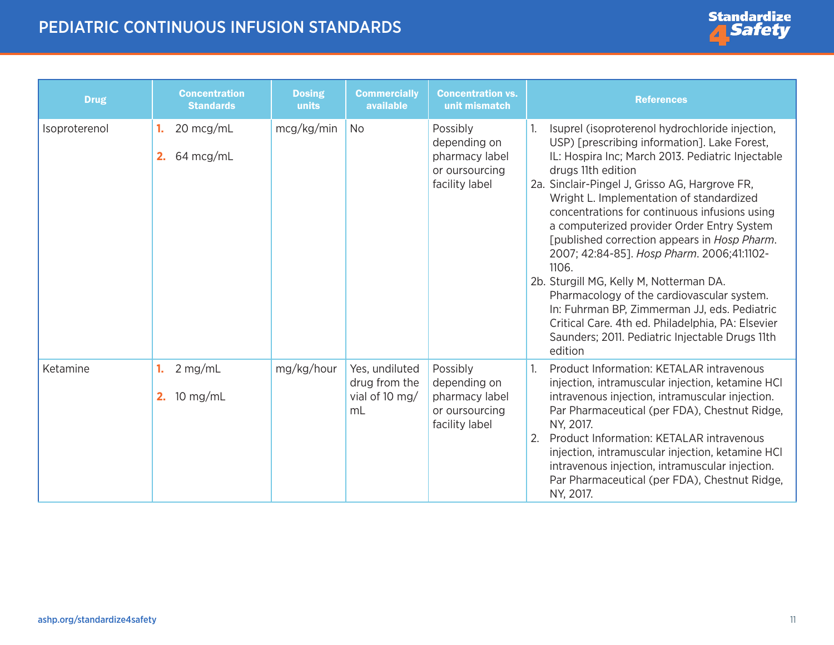

| <b>Drug</b>   | <b>Concentration</b><br><b>Standards</b>  | <b>Dosing</b><br>units | <b>Commercially</b><br>available                        | <b>Concentration vs.</b><br>unit mismatch                                      | <b>References</b>                                                                                                                                                                                                                                                                                                                                                                                                                                                                                                                                                                                                                                                                                                                          |
|---------------|-------------------------------------------|------------------------|---------------------------------------------------------|--------------------------------------------------------------------------------|--------------------------------------------------------------------------------------------------------------------------------------------------------------------------------------------------------------------------------------------------------------------------------------------------------------------------------------------------------------------------------------------------------------------------------------------------------------------------------------------------------------------------------------------------------------------------------------------------------------------------------------------------------------------------------------------------------------------------------------------|
| Isoproterenol | 20 mcg/mL<br>1.<br>2. $64 \text{ mcg/mL}$ | mcg/kg/min             | <b>No</b>                                               | Possibly<br>depending on<br>pharmacy label<br>or oursourcing<br>facility label | Isuprel (isoproterenol hydrochloride injection,<br>USP) [prescribing information]. Lake Forest,<br>IL: Hospira Inc; March 2013. Pediatric Injectable<br>drugs 11th edition<br>2a. Sinclair-Pingel J, Grisso AG, Hargrove FR,<br>Wright L. Implementation of standardized<br>concentrations for continuous infusions using<br>a computerized provider Order Entry System<br>[published correction appears in Hosp Pharm.<br>2007; 42:84-85]. Hosp Pharm. 2006;41:1102-<br>1106.<br>2b. Sturgill MG, Kelly M, Notterman DA.<br>Pharmacology of the cardiovascular system.<br>In: Fuhrman BP, Zimmerman JJ, eds. Pediatric<br>Critical Care. 4th ed. Philadelphia, PA: Elsevier<br>Saunders; 2011. Pediatric Injectable Drugs 11th<br>edition |
| Ketamine      | $2$ mg/mL<br>10 mg/mL<br>2.               | mg/kg/hour             | Yes, undiluted<br>drug from the<br>vial of 10 mg/<br>mL | Possibly<br>depending on<br>pharmacy label<br>or oursourcing<br>facility label | Product Information: KETALAR intravenous<br>injection, intramuscular injection, ketamine HCI<br>intravenous injection, intramuscular injection.<br>Par Pharmaceutical (per FDA), Chestnut Ridge,<br>NY, 2017.<br>2.<br>Product Information: KETALAR intravenous<br>injection, intramuscular injection, ketamine HCI<br>intravenous injection, intramuscular injection.<br>Par Pharmaceutical (per FDA), Chestnut Ridge,<br>NY, 2017.                                                                                                                                                                                                                                                                                                       |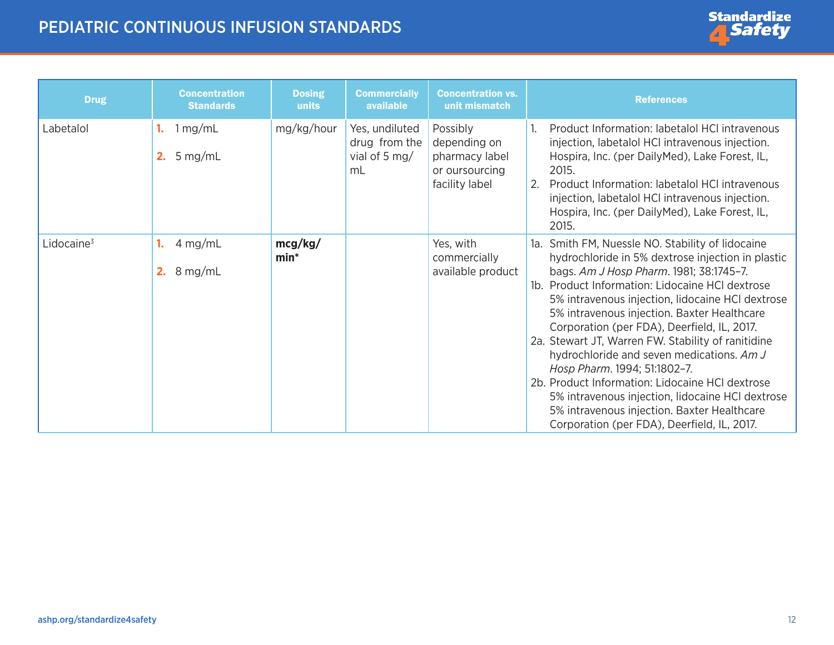

<span id="page-11-0"></span>

| <b>Drug</b>            | <b>Concentration</b><br><b>Standards</b>     | <b>Dosing</b><br>units | <b>Commercially</b><br>available                       | <b>Concentration vs.</b><br>unit mismatch                                      | <b>References</b>                                                                                                                                                                                                                                                                                                                                                                                                                                                                                                                                                                                                                                                                                |
|------------------------|----------------------------------------------|------------------------|--------------------------------------------------------|--------------------------------------------------------------------------------|--------------------------------------------------------------------------------------------------------------------------------------------------------------------------------------------------------------------------------------------------------------------------------------------------------------------------------------------------------------------------------------------------------------------------------------------------------------------------------------------------------------------------------------------------------------------------------------------------------------------------------------------------------------------------------------------------|
| Labetalol              | 1 mg/mL<br>5 mg/mL<br>2.                     | mg/kg/hour             | Yes, undiluted<br>drug from the<br>vial of 5 mg/<br>mL | Possibly<br>depending on<br>pharmacy label<br>or oursourcing<br>facility label | Product Information: labetalol HCI intravenous<br>injection, labetalol HCI intravenous injection.<br>Hospira, Inc. (per DailyMed), Lake Forest, IL,<br>2015.<br>Product Information: labetalol HCI intravenous<br>2.<br>injection, labetalol HCI intravenous injection.<br>Hospira, Inc. (per DailyMed), Lake Forest, IL,<br>2015.                                                                                                                                                                                                                                                                                                                                                               |
| Lidocaine <sup>3</sup> | 4 mg/mL<br>1.<br><b>2.</b> $8 \text{ mg/mL}$ | mcg/kg/<br>$min*$      |                                                        | Yes, with<br>commercially<br>available product                                 | 1a. Smith FM, Nuessle NO. Stability of lidocaine<br>hydrochloride in 5% dextrose injection in plastic<br>bags. Am J Hosp Pharm. 1981; 38:1745-7.<br>Product Information: Lidocaine HCI dextrose<br>1b.<br>5% intravenous injection, lidocaine HCI dextrose<br>5% intravenous injection. Baxter Healthcare<br>Corporation (per FDA), Deerfield, IL, 2017.<br>2a. Stewart JT, Warren FW. Stability of ranitidine<br>hydrochloride and seven medications. Am J<br>Hosp Pharm. 1994; 51:1802-7.<br>2b. Product Information: Lidocaine HCI dextrose<br>5% intravenous injection, lidocaine HCI dextrose<br>5% intravenous injection. Baxter Healthcare<br>Corporation (per FDA), Deerfield, IL, 2017. |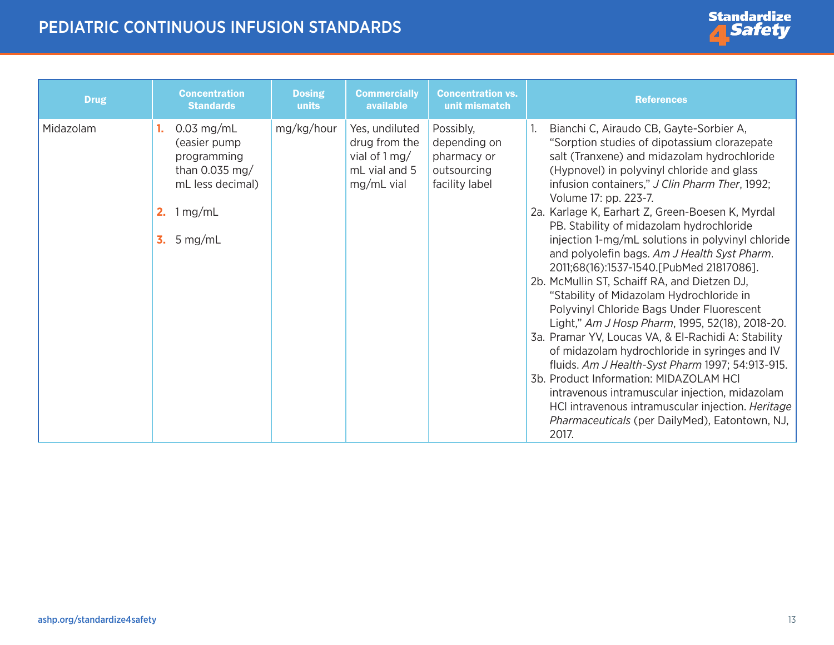

| <b>Drug</b> | <b>Concentration</b><br><b>Standards</b>                                                                                | <b>Dosing</b><br>units | <b>Commercially</b><br>available                                                             | <b>Concentration vs.</b><br>unit mismatch                                 | <b>References</b>                                                                                                                                                                                                                                                                                                                                                                                                                                                                                                                                                                                                                                                                                                                                                                                                                                                                                                                                                                                                                                                                    |
|-------------|-------------------------------------------------------------------------------------------------------------------------|------------------------|----------------------------------------------------------------------------------------------|---------------------------------------------------------------------------|--------------------------------------------------------------------------------------------------------------------------------------------------------------------------------------------------------------------------------------------------------------------------------------------------------------------------------------------------------------------------------------------------------------------------------------------------------------------------------------------------------------------------------------------------------------------------------------------------------------------------------------------------------------------------------------------------------------------------------------------------------------------------------------------------------------------------------------------------------------------------------------------------------------------------------------------------------------------------------------------------------------------------------------------------------------------------------------|
| Midazolam   | $0.03$ mg/mL<br>(easier pump<br>programming<br>than $0.035$ mg/<br>mL less decimal)<br>1 mg/mL<br>2.<br>$5$ mg/mL<br>3. | mg/kg/hour             | Yes, undiluted<br>drug from the<br>vial of $1 \,\mathrm{mg}/$<br>mL vial and 5<br>mg/mL vial | Possibly,<br>depending on<br>pharmacy or<br>outsourcing<br>facility label | Bianchi C, Airaudo CB, Gayte-Sorbier A,<br>"Sorption studies of dipotassium clorazepate<br>salt (Tranxene) and midazolam hydrochloride<br>(Hypnovel) in polyvinyl chloride and glass<br>infusion containers," J Clin Pharm Ther, 1992;<br>Volume 17: pp. 223-7.<br>2a. Karlage K, Earhart Z, Green-Boesen K, Myrdal<br>PB. Stability of midazolam hydrochloride<br>injection 1-mg/mL solutions in polyvinyl chloride<br>and polyolefin bags. Am J Health Syst Pharm.<br>2011;68(16):1537-1540.[PubMed 21817086].<br>2b. McMullin ST, Schaiff RA, and Dietzen DJ,<br>"Stability of Midazolam Hydrochloride in<br>Polyvinyl Chloride Bags Under Fluorescent<br>Light," Am J Hosp Pharm, 1995, 52(18), 2018-20.<br>3a. Pramar YV, Loucas VA, & El-Rachidi A: Stability<br>of midazolam hydrochloride in syringes and IV<br>fluids. Am J Health-Syst Pharm 1997; 54:913-915.<br>3b. Product Information: MIDAZOLAM HCI<br>intravenous intramuscular injection, midazolam<br>HCl intravenous intramuscular injection. Heritage<br>Pharmaceuticals (per DailyMed), Eatontown, NJ,<br>2017. |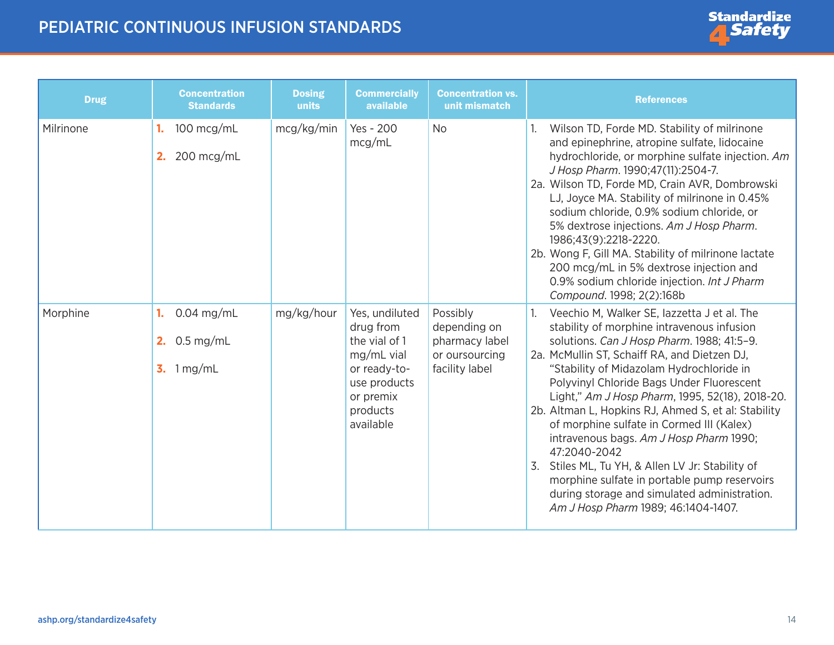

| <b>Drug</b> | <b>Concentration</b><br><b>Standards</b>                           | <b>Dosing</b><br>units | <b>Commercially</b><br>available                                                                                                 | <b>Concentration vs.</b><br>unit mismatch                                      | <b>References</b>                                                                                                                                                                                                                                                                                                                                                                                                                                                                                                                                                                                                                                                                             |
|-------------|--------------------------------------------------------------------|------------------------|----------------------------------------------------------------------------------------------------------------------------------|--------------------------------------------------------------------------------|-----------------------------------------------------------------------------------------------------------------------------------------------------------------------------------------------------------------------------------------------------------------------------------------------------------------------------------------------------------------------------------------------------------------------------------------------------------------------------------------------------------------------------------------------------------------------------------------------------------------------------------------------------------------------------------------------|
| Milrinone   | 100 mcg/mL<br>1.<br>200 mcg/mL<br>2.                               | mcg/kg/min             | Yes - 200<br>mcg/mL                                                                                                              | <b>No</b>                                                                      | Wilson TD, Forde MD. Stability of milrinone<br>and epinephrine, atropine sulfate, lidocaine<br>hydrochloride, or morphine sulfate injection. Am<br>J Hosp Pharm. 1990;47(11):2504-7.<br>2a. Wilson TD, Forde MD, Crain AVR, Dombrowski<br>LJ, Joyce MA. Stability of milrinone in 0.45%<br>sodium chloride, 0.9% sodium chloride, or<br>5% dextrose injections. Am J Hosp Pharm.<br>1986;43(9):2218-2220.<br>2b. Wong F, Gill MA. Stability of milrinone lactate<br>200 mcg/mL in 5% dextrose injection and<br>0.9% sodium chloride injection. Int J Pharm<br>Compound. 1998; 2(2):168b                                                                                                       |
| Morphine    | $0.04$ mg/mL<br>1.<br>$0.5$ mg/mL<br>2.<br>3. $1 \,\mathrm{mg/mL}$ | mg/kg/hour             | Yes, undiluted<br>drug from<br>the vial of 1<br>mg/mL vial<br>or ready-to-<br>use products<br>or premix<br>products<br>available | Possibly<br>depending on<br>pharmacy label<br>or oursourcing<br>facility label | Veechio M, Walker SE, lazzetta J et al. The<br>stability of morphine intravenous infusion<br>solutions. Can J Hosp Pharm. 1988; 41:5-9.<br>2a. McMullin ST, Schaiff RA, and Dietzen DJ,<br>"Stability of Midazolam Hydrochloride in<br>Polyvinyl Chloride Bags Under Fluorescent<br>Light," Am J Hosp Pharm, 1995, 52(18), 2018-20.<br>2b. Altman L, Hopkins RJ, Ahmed S, et al: Stability<br>of morphine sulfate in Cormed III (Kalex)<br>intravenous bags. Am J Hosp Pharm 1990;<br>47:2040-2042<br>3. Stiles ML, Tu YH, & Allen LV Jr: Stability of<br>morphine sulfate in portable pump reservoirs<br>during storage and simulated administration.<br>Am J Hosp Pharm 1989; 46:1404-1407. |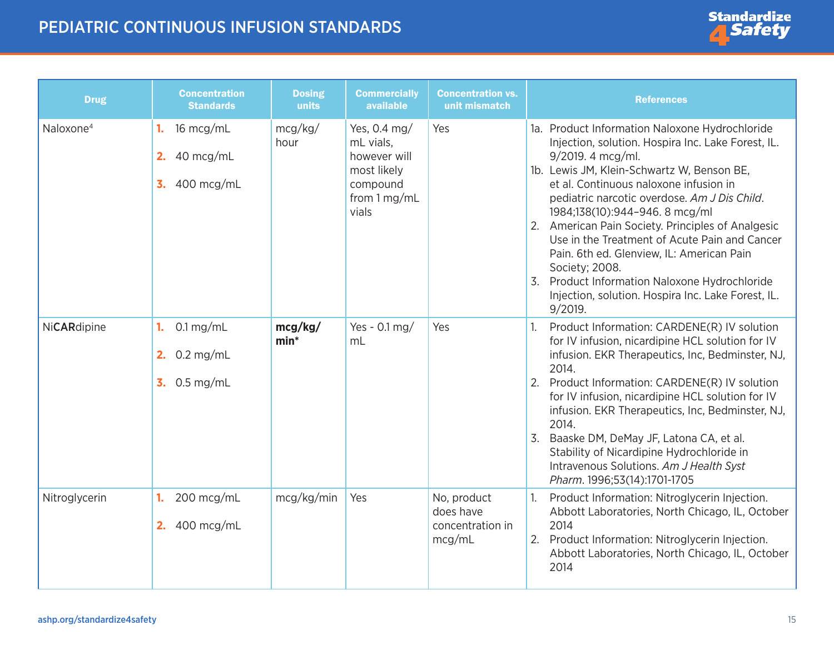

<span id="page-14-0"></span>

| <b>Drug</b>           | <b>Concentration</b><br><b>Standards</b>                                        | <b>Dosing</b><br>units | <b>Commercially</b><br>available                                                              | <b>Concentration vs.</b><br>unit mismatch              | <b>References</b>                                                                                                                                                                                                                                                                                                                                                                                                                                                                                                                                                                                           |
|-----------------------|---------------------------------------------------------------------------------|------------------------|-----------------------------------------------------------------------------------------------|--------------------------------------------------------|-------------------------------------------------------------------------------------------------------------------------------------------------------------------------------------------------------------------------------------------------------------------------------------------------------------------------------------------------------------------------------------------------------------------------------------------------------------------------------------------------------------------------------------------------------------------------------------------------------------|
| Naloxone <sup>4</sup> | 16 mcg/mL<br>1.<br>40 mcg/mL<br>2.<br>$\overline{3}$ .<br>400 mcg/mL            | mcg/kg/<br>hour        | Yes, 0.4 mg/<br>mL vials,<br>however will<br>most likely<br>compound<br>from 1 mg/mL<br>vials | Yes                                                    | 1a. Product Information Naloxone Hydrochloride<br>Injection, solution. Hospira Inc. Lake Forest, IL.<br>9/2019. 4 mcg/ml.<br>1b. Lewis JM, Klein-Schwartz W, Benson BE,<br>et al. Continuous naloxone infusion in<br>pediatric narcotic overdose. Am J Dis Child.<br>1984;138(10):944-946. 8 mcg/ml<br>2. American Pain Society. Principles of Analgesic<br>Use in the Treatment of Acute Pain and Cancer<br>Pain. 6th ed. Glenview, IL: American Pain<br>Society; 2008.<br>Product Information Naloxone Hydrochloride<br>$\overline{3}$ .<br>Injection, solution. Hospira Inc. Lake Forest, IL.<br>9/2019. |
| NiCARdipine           | $0.1 \,\mathrm{mg/mL}$<br>1.<br>2. $0.2 \text{ mg/mL}$<br>$3.0.5 \text{ mg/mL}$ | mcg/kg/<br>$min*$      | Yes - $0.1$ mg/<br>m <sub>L</sub>                                                             | Yes                                                    | Product Information: CARDENE(R) IV solution<br>1.<br>for IV infusion, nicardipine HCL solution for IV<br>infusion. EKR Therapeutics, Inc, Bedminster, NJ,<br>2014.<br>Product Information: CARDENE(R) IV solution<br>2.<br>for IV infusion, nicardipine HCL solution for IV<br>infusion. EKR Therapeutics, Inc, Bedminster, NJ,<br>2014.<br>3.<br>Baaske DM, DeMay JF, Latona CA, et al.<br>Stability of Nicardipine Hydrochloride in<br>Intravenous Solutions. Am J Health Syst<br>Pharm. 1996;53(14):1701-1705                                                                                            |
| Nitroglycerin         | 200 mcg/mL<br>1.<br><b>2.</b> 400 mcg/mL                                        | mcg/kg/min             | Yes                                                                                           | No, product<br>does have<br>concentration in<br>mcg/mL | Product Information: Nitroglycerin Injection.<br>Abbott Laboratories, North Chicago, IL, October<br>2014<br>2.<br>Product Information: Nitroglycerin Injection.<br>Abbott Laboratories, North Chicago, IL, October<br>2014                                                                                                                                                                                                                                                                                                                                                                                  |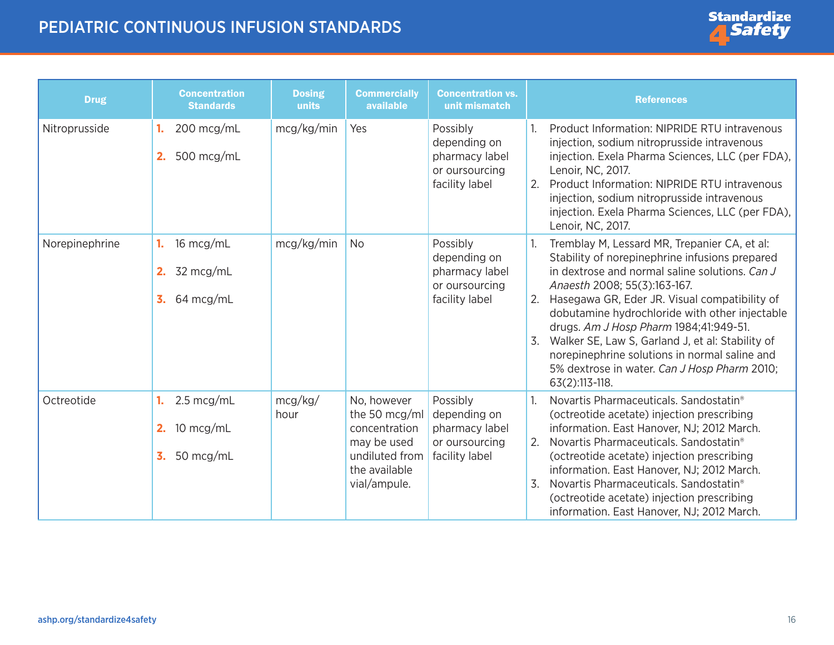| <b>Drug</b>    | <b>Concentration</b><br><b>Standards</b>               | <b>Dosing</b><br>units | <b>Commercially</b><br>available                                                                                | <b>Concentration vs.</b><br>unit mismatch                                      | <b>References</b>                                                                                                                                                                                                                                                                                                                                                                                                                                                                                                  |
|----------------|--------------------------------------------------------|------------------------|-----------------------------------------------------------------------------------------------------------------|--------------------------------------------------------------------------------|--------------------------------------------------------------------------------------------------------------------------------------------------------------------------------------------------------------------------------------------------------------------------------------------------------------------------------------------------------------------------------------------------------------------------------------------------------------------------------------------------------------------|
| Nitroprusside  | 200 mcg/mL<br>1.<br>500 mcg/mL<br>2.                   | mcg/kg/min             | Yes                                                                                                             | Possibly<br>depending on<br>pharmacy label<br>or oursourcing<br>facility label | Product Information: NIPRIDE RTU intravenous<br>injection, sodium nitroprusside intravenous<br>injection. Exela Pharma Sciences, LLC (per FDA),<br>Lenoir, NC, 2017.<br>Product Information: NIPRIDE RTU intravenous<br>2.<br>injection, sodium nitroprusside intravenous<br>injection. Exela Pharma Sciences, LLC (per FDA),<br>Lenoir, NC, 2017.                                                                                                                                                                 |
| Norepinephrine | 16 mcg/mL<br>1.<br>32 mcg/mL<br>2.<br>64 mcg/mL<br>3.  | mcg/kg/min             | <b>No</b>                                                                                                       | Possibly<br>depending on<br>pharmacy label<br>or oursourcing<br>facility label | Tremblay M, Lessard MR, Trepanier CA, et al:<br>Stability of norepinephrine infusions prepared<br>in dextrose and normal saline solutions. Can J<br>Anaesth 2008; 55(3):163-167.<br>Hasegawa GR, Eder JR. Visual compatibility of<br>2.<br>dobutamine hydrochloride with other injectable<br>drugs. Am J Hosp Pharm 1984;41:949-51.<br>Walker SE, Law S, Garland J, et al: Stability of<br>3.<br>norepinephrine solutions in normal saline and<br>5% dextrose in water. Can J Hosp Pharm 2010;<br>$63(2):113-118.$ |
| Octreotide     | 2.5 mcg/mL<br>1.<br>10 mcg/mL<br>2.<br>50 mcg/mL<br>3. | mcg/kg/<br>hour        | No, however<br>the 50 mcg/ml<br>concentration<br>may be used<br>undiluted from<br>the available<br>vial/ampule. | Possibly<br>depending on<br>pharmacy label<br>or oursourcing<br>facility label | Novartis Pharmaceuticals. Sandostatin <sup>®</sup><br>(octreotide acetate) injection prescribing<br>information. East Hanover, NJ; 2012 March.<br>2.<br>Novartis Pharmaceuticals, Sandostatin <sup>®</sup><br>(octreotide acetate) injection prescribing<br>information. East Hanover, NJ; 2012 March.<br>3.<br>Novartis Pharmaceuticals. Sandostatin <sup>®</sup><br>(octreotide acetate) injection prescribing<br>information. East Hanover, NJ; 2012 March.                                                     |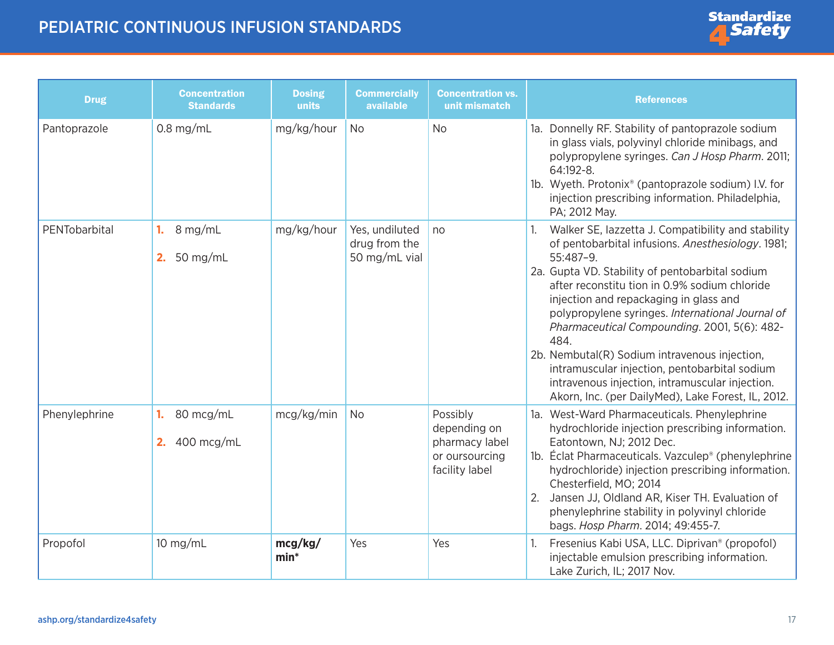| <b>Drug</b>   | <b>Concentration</b><br><b>Standards</b> | <b>Dosing</b><br>units | <b>Commercially</b><br>available                 | <b>Concentration vs.</b><br>unit mismatch                                      | <b>References</b>                                                                                                                                                                                                                                                                                                                                                                                                                                                                                                                                                                         |
|---------------|------------------------------------------|------------------------|--------------------------------------------------|--------------------------------------------------------------------------------|-------------------------------------------------------------------------------------------------------------------------------------------------------------------------------------------------------------------------------------------------------------------------------------------------------------------------------------------------------------------------------------------------------------------------------------------------------------------------------------------------------------------------------------------------------------------------------------------|
| Pantoprazole  | $0.8$ mg/mL                              | mg/kg/hour             | <b>No</b>                                        | <b>No</b>                                                                      | 1a. Donnelly RF. Stability of pantoprazole sodium<br>in glass vials, polyvinyl chloride minibags, and<br>polypropylene syringes. Can J Hosp Pharm. 2011;<br>64:192-8.<br>1b. Wyeth. Protonix® (pantoprazole sodium) I.V. for<br>injection prescribing information. Philadelphia,<br>PA; 2012 May.                                                                                                                                                                                                                                                                                         |
| PENTobarbital | 8 mg/mL<br>1.<br>50 mg/mL<br>2.          | mg/kg/hour             | Yes, undiluted<br>drug from the<br>50 mg/mL vial | no                                                                             | Walker SE, lazzetta J. Compatibility and stability<br>of pentobarbital infusions. Anesthesiology. 1981;<br>55:487-9.<br>2a. Gupta VD. Stability of pentobarbital sodium<br>after reconstitu tion in 0.9% sodium chloride<br>injection and repackaging in glass and<br>polypropylene syringes. International Journal of<br>Pharmaceutical Compounding. 2001, 5(6): 482-<br>484.<br>2b. Nembutal(R) Sodium intravenous injection,<br>intramuscular injection, pentobarbital sodium<br>intravenous injection, intramuscular injection.<br>Akorn, Inc. (per DailyMed), Lake Forest, IL, 2012. |
| Phenylephrine | 80 mcg/mL<br>1.<br>400 mcg/mL<br>2.      | mcg/kg/min             | <b>No</b>                                        | Possibly<br>depending on<br>pharmacy label<br>or oursourcing<br>facility label | 1a. West-Ward Pharmaceuticals. Phenylephrine<br>hydrochloride injection prescribing information.<br>Eatontown, NJ; 2012 Dec.<br>1b. Éclat Pharmaceuticals. Vazculep <sup>®</sup> (phenylephrine<br>hydrochloride) injection prescribing information.<br>Chesterfield, MO; 2014<br>Jansen JJ, Oldland AR, Kiser TH. Evaluation of<br>2.<br>phenylephrine stability in polyvinyl chloride<br>bags. Hosp Pharm. 2014; 49:455-7.                                                                                                                                                              |
| Propofol      | $10$ mg/mL                               | mcg/kg/<br>$min*$      | Yes                                              | Yes                                                                            | Fresenius Kabi USA, LLC. Diprivan <sup>®</sup> (propofol)<br>injectable emulsion prescribing information.<br>Lake Zurich, IL; 2017 Nov.                                                                                                                                                                                                                                                                                                                                                                                                                                                   |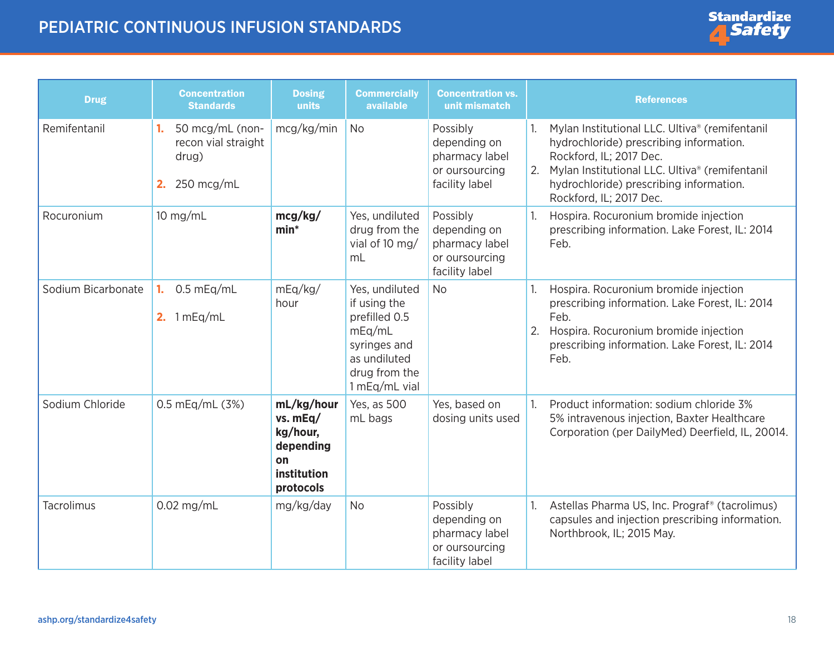

| <b>Drug</b>        | <b>Concentration</b><br><b>Standards</b>                                  | <b>Dosing</b><br>units                                                            | <b>Commercially</b><br>available                                                                                            | <b>Concentration vs.</b><br>unit mismatch                                      | <b>References</b>                                                                                                                                                                                                                                  |
|--------------------|---------------------------------------------------------------------------|-----------------------------------------------------------------------------------|-----------------------------------------------------------------------------------------------------------------------------|--------------------------------------------------------------------------------|----------------------------------------------------------------------------------------------------------------------------------------------------------------------------------------------------------------------------------------------------|
| Remifentanil       | 50 mcg/mL (non-<br>1.<br>recon vial straight<br>drug)<br>250 mcg/mL<br>2. | mcg/kg/min                                                                        | <b>No</b>                                                                                                                   | Possibly<br>depending on<br>pharmacy label<br>or oursourcing<br>facility label | Mylan Institutional LLC. Ultiva® (remifentanil<br>hydrochloride) prescribing information.<br>Rockford, IL; 2017 Dec.<br>Mylan Institutional LLC. Ultiva® (remifentanil<br>2.<br>hydrochloride) prescribing information.<br>Rockford, IL; 2017 Dec. |
| Rocuronium         | $10$ mg/mL                                                                | mcg/kg/<br>$min*$                                                                 | Yes, undiluted<br>drug from the<br>vial of 10 mg/<br>mL                                                                     | Possibly<br>depending on<br>pharmacy label<br>or oursourcing<br>facility label | Hospira. Rocuronium bromide injection<br>prescribing information. Lake Forest, IL: 2014<br>Feb.                                                                                                                                                    |
| Sodium Bicarbonate | $0.5$ mEq/mL<br>1.<br>2. $1 mEq/mL$                                       | mEq/kg/<br>hour                                                                   | Yes, undiluted<br>if using the<br>prefilled 0.5<br>mEq/mL<br>syringes and<br>as undiluted<br>drug from the<br>1 mEq/mL vial | <b>No</b>                                                                      | Hospira. Rocuronium bromide injection<br>prescribing information. Lake Forest, IL: 2014<br>Feb.<br>Hospira. Rocuronium bromide injection<br>2.<br>prescribing information. Lake Forest, IL: 2014<br>Feb.                                           |
| Sodium Chloride    | 0.5 mEg/mL (3%)                                                           | mL/kg/hour<br>vs. mEq/<br>kg/hour,<br>depending<br>on<br>institution<br>protocols | Yes, as 500<br>mL bags                                                                                                      | Yes, based on<br>dosing units used                                             | Product information: sodium chloride 3%<br>1 <sup>1</sup><br>5% intravenous injection, Baxter Healthcare<br>Corporation (per DailyMed) Deerfield, IL, 20014.                                                                                       |
| Tacrolimus         | $0.02$ mg/mL                                                              | mg/kg/day                                                                         | <b>No</b>                                                                                                                   | Possibly<br>depending on<br>pharmacy label<br>or oursourcing<br>facility label | Astellas Pharma US, Inc. Prograf <sup>®</sup> (tacrolimus)<br>capsules and injection prescribing information.<br>Northbrook, IL; 2015 May.                                                                                                         |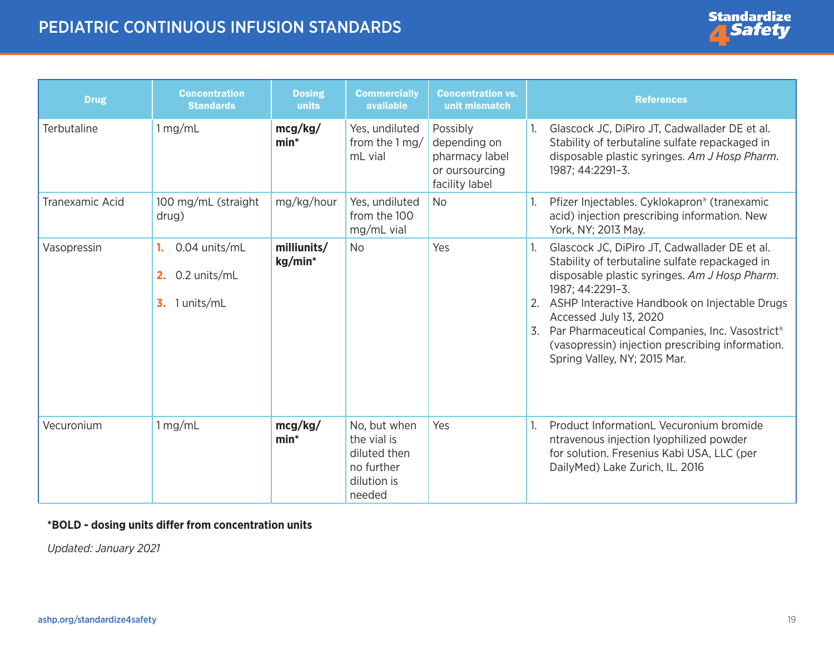| <b>Drug</b>     | <b>Concentration</b><br><b>Standards</b>                      | <b>Dosing</b><br>units | <b>Commercially</b><br>available                                                   | <b>Concentration vs.</b><br>unit mismatch                                      | <b>References</b>                                                                                                                                                                                                                                                                                                                                                                                                   |
|-----------------|---------------------------------------------------------------|------------------------|------------------------------------------------------------------------------------|--------------------------------------------------------------------------------|---------------------------------------------------------------------------------------------------------------------------------------------------------------------------------------------------------------------------------------------------------------------------------------------------------------------------------------------------------------------------------------------------------------------|
| Terbutaline     | 1 mg/mL                                                       | mcg/kg/<br>$min*$      | Yes, undiluted<br>from the 1 mg/<br>mL vial                                        | Possibly<br>depending on<br>pharmacy label<br>or oursourcing<br>facility label | Glascock JC, DiPiro JT, Cadwallader DE et al.<br>Stability of terbutaline sulfate repackaged in<br>disposable plastic syringes. Am J Hosp Pharm.<br>1987; 44:2291-3.                                                                                                                                                                                                                                                |
| Tranexamic Acid | 100 mg/mL (straight<br>drug)                                  | mg/kg/hour             | Yes, undiluted<br>from the 100<br>mg/mL vial                                       | <b>No</b>                                                                      | Pfizer Injectables. Cyklokapron® (tranexamic<br>acid) injection prescribing information. New<br>York, NY; 2013 May.                                                                                                                                                                                                                                                                                                 |
| Vasopressin     | 0.04 units/mL<br>1.<br>0.2 units/mL<br>2.<br>1 units/mL<br>3. | milliunits/<br>kg/min* | <b>No</b>                                                                          | Yes                                                                            | Glascock JC, DiPiro JT, Cadwallader DE et al.<br>1.<br>Stability of terbutaline sulfate repackaged in<br>disposable plastic syringes. Am J Hosp Pharm.<br>1987; 44:2291-3.<br>ASHP Interactive Handbook on Injectable Drugs<br>2.<br>Accessed July 13, 2020<br>Par Pharmaceutical Companies, Inc. Vasostrict <sup>®</sup><br>3.<br>(vasopressin) injection prescribing information.<br>Spring Valley, NY; 2015 Mar. |
| Vecuronium      | 1 mg/mL                                                       | mcg/kg/<br>$min*$      | No, but when<br>the vial is<br>diluted then<br>no further<br>dilution is<br>needed | Yes                                                                            | Product InformationL Vecuronium bromide<br>ntravenous injection lyophilized powder<br>for solution. Fresenius Kabi USA, LLC (per<br>DailyMed) Lake Zurich, IL. 2016                                                                                                                                                                                                                                                 |

#### **\*BOLD - dosing units differ from concentration units**

*Updated: January 2021*